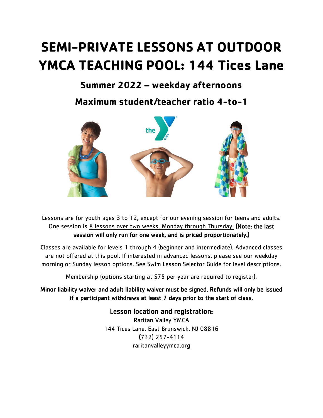## **SEMI-PRIVATE LESSONS AT OUTDOOR YMCA TEACHING POOL: 144 Tices Lane**

## **Summer 2022 – weekday afternoons**

**Maximum student/teacher ratio 4-to-1**



Lessons are for youth ages 3 to 12, except for our evening session for teens and adults. One session is 8 lessons over two weeks, Monday through Thursday. (Note: the last session will only run for one week, and is priced proportionately.)

Classes are available for levels 1 through 4 (beginner and intermediate). Advanced classes are not offered at this pool. If interested in advanced lessons, please see our weekday morning or Sunday lesson options. See Swim Lesson Selector Guide for level descriptions.

Membership (options starting at \$75 per year are required to register).

Minor liability waiver and adult liability waiver must be signed. Refunds will only be issued if a participant withdraws at least 7 days prior to the start of class.

> Lesson location and registration: Raritan Valley YMCA 144 Tices Lane, East Brunswick, NJ 08816 (732) 257-4114 raritanvalleyymca.org